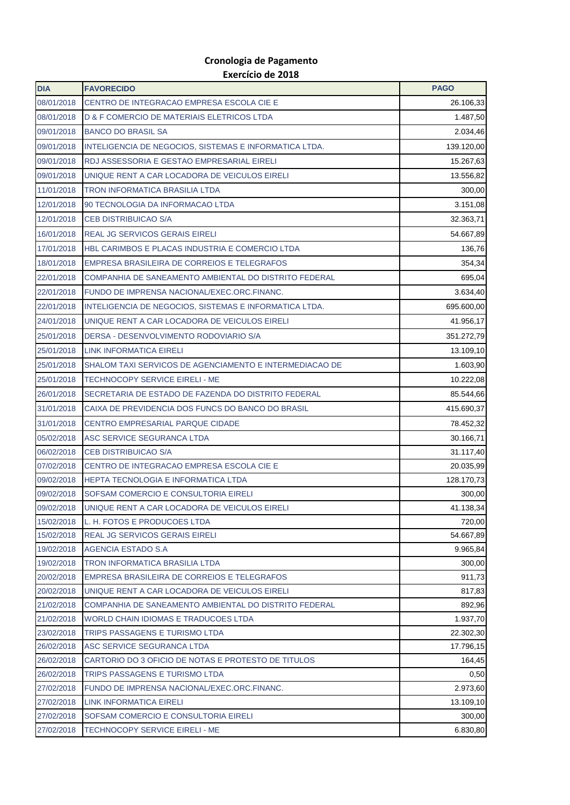## **Cronologia de Pagamento Exercício de 2018**

| <b>DIA</b>               | <b>FAVORECIDO</b>                                                             | <b>PAGO</b>           |
|--------------------------|-------------------------------------------------------------------------------|-----------------------|
| 08/01/2018               | CENTRO DE INTEGRACAO EMPRESA ESCOLA CIE E                                     | 26.106,33             |
| 08/01/2018               | D & F COMERCIO DE MATERIAIS ELETRICOS LTDA                                    | 1.487,50              |
| 09/01/2018               | <b>BANCO DO BRASIL SA</b>                                                     | 2.034,46              |
| 09/01/2018               | INTELIGENCIA DE NEGOCIOS, SISTEMAS E INFORMATICA LTDA.                        | 139.120,00            |
| 09/01/2018               | RDJ ASSESSORIA E GESTAO EMPRESARIAL EIRELI                                    | 15.267,63             |
| 09/01/2018               | UNIQUE RENT A CAR LOCADORA DE VEICULOS EIRELI                                 | 13.556,82             |
| 11/01/2018               | <b>TRON INFORMATICA BRASILIA LTDA</b>                                         | 300,00                |
| 12/01/2018               | 90 TECNOLOGIA DA INFORMACAO LTDA                                              | 3.151,08              |
| 12/01/2018               | <b>CEB DISTRIBUICAO S/A</b>                                                   | 32.363,71             |
| 16/01/2018               | <b>REAL JG SERVICOS GERAIS EIRELI</b>                                         | 54.667,89             |
| 17/01/2018               | HBL CARIMBOS E PLACAS INDUSTRIA E COMERCIO LTDA                               | 136,76                |
| 18/01/2018               | EMPRESA BRASILEIRA DE CORREIOS E TELEGRAFOS                                   | 354,34                |
| 22/01/2018               | COMPANHIA DE SANEAMENTO AMBIENTAL DO DISTRITO FEDERAL                         | 695,04                |
| 22/01/2018               | FUNDO DE IMPRENSA NACIONAL/EXEC.ORC.FINANC.                                   | 3.634,40              |
| 22/01/2018               | INTELIGENCIA DE NEGOCIOS, SISTEMAS E INFORMATICA LTDA.                        | 695.600,00            |
| 24/01/2018               | UNIQUE RENT A CAR LOCADORA DE VEICULOS EIRELI                                 | 41.956,17             |
| 25/01/2018               | DERSA - DESENVOLVIMENTO RODOVIARIO S/A                                        | 351.272,79            |
| 25/01/2018               | <b>LINK INFORMATICA EIRELI</b>                                                | 13.109,10             |
| 25/01/2018               | SHALOM TAXI SERVICOS DE AGENCIAMENTO E INTERMEDIACAO DE                       | 1.603,90              |
| 25/01/2018               | TECHNOCOPY SERVICE EIRELI - ME                                                | 10.222,08             |
| 26/01/2018               | SECRETARIA DE ESTADO DE FAZENDA DO DISTRITO FEDERAL                           | 85.544,66             |
| 31/01/2018               | CAIXA DE PREVIDENCIA DOS FUNCS DO BANCO DO BRASIL                             | 415.690,37            |
| 31/01/2018               | CENTRO EMPRESARIAL PARQUE CIDADE                                              | 78.452,32             |
| 05/02/2018               | ASC SERVICE SEGURANCA LTDA                                                    | 30.166,71             |
| 06/02/2018               | <b>CEB DISTRIBUICAO S/A</b>                                                   | 31.117,40             |
| 07/02/2018               | CENTRO DE INTEGRACAO EMPRESA ESCOLA CIE E                                     | 20.035,99             |
| 09/02/2018               | <b>HEPTA TECNOLOGIA E INFORMATICA LTDA</b>                                    | 128.170,73            |
| 09/02/2018               | SOFSAM COMERCIO E CONSULTORIA EIRELI                                          | 300,00                |
| 09/02/2018               | UNIQUE RENT A CAR LOCADORA DE VEICULOS EIRELI                                 | 41.138,34             |
| 15/02/2018               | L. H. FOTOS E PRODUCOES LTDA                                                  | 720,00                |
| 15/02/2018               | <b>REAL JG SERVICOS GERAIS EIRELI</b>                                         | 54.667,89             |
| 19/02/2018               | AGENCIA ESTADO S.A                                                            | 9.965,84              |
| 19/02/2018               | TRON INFORMATICA BRASILIA LTDA                                                | 300,00                |
| 20/02/2018               | EMPRESA BRASILEIRA DE CORREIOS E TELEGRAFOS                                   | 911,73                |
| 20/02/2018               | UNIQUE RENT A CAR LOCADORA DE VEICULOS EIRELI                                 | 817,83                |
| 21/02/2018               | COMPANHIA DE SANEAMENTO AMBIENTAL DO DISTRITO FEDERAL                         | 892,96                |
| 21/02/2018               | WORLD CHAIN IDIOMAS E TRADUCOES LTDA                                          | 1.937,70              |
| 23/02/2018               | TRIPS PASSAGENS E TURISMO LTDA                                                | 22.302,30             |
| 26/02/2018               | ASC SERVICE SEGURANCA LTDA                                                    | 17.796,15             |
| 26/02/2018               | CARTORIO DO 3 OFICIO DE NOTAS E PROTESTO DE TITULOS                           | 164,45                |
| 26/02/2018               | TRIPS PASSAGENS E TURISMO LTDA                                                | 0,50                  |
| 27/02/2018<br>27/02/2018 | FUNDO DE IMPRENSA NACIONAL/EXEC.ORC.FINANC.<br><b>LINK INFORMATICA EIRELI</b> | 2.973,60<br>13.109,10 |
| 27/02/2018               | SOFSAM COMERCIO E CONSULTORIA EIRELI                                          | 300,00                |
| 27/02/2018               | TECHNOCOPY SERVICE EIRELI - ME                                                | 6.830,80              |
|                          |                                                                               |                       |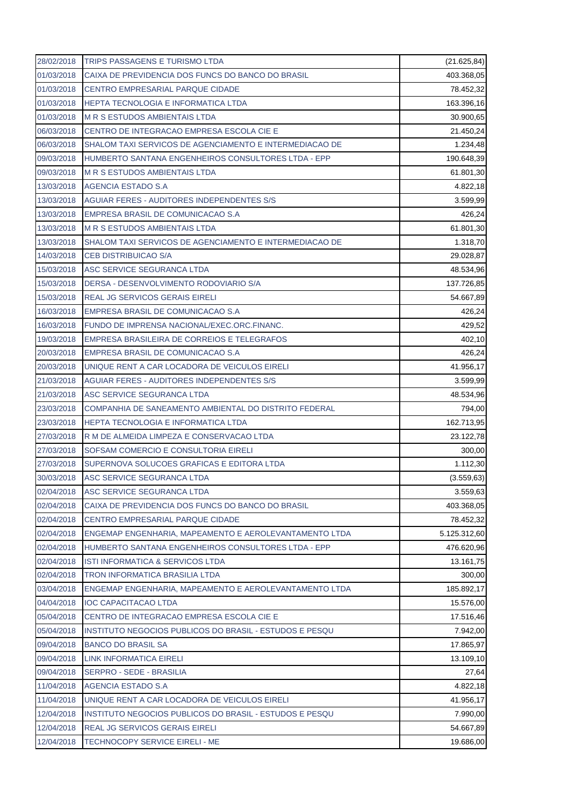| 28/02/2018 | <b>TRIPS PASSAGENS E TURISMO LTDA</b>                   | (21.625, 84) |
|------------|---------------------------------------------------------|--------------|
| 01/03/2018 | CAIXA DE PREVIDENCIA DOS FUNCS DO BANCO DO BRASIL       | 403.368,05   |
| 01/03/2018 | <b>CENTRO EMPRESARIAL PARQUE CIDADE</b>                 | 78.452,32    |
| 01/03/2018 | <b>HEPTA TECNOLOGIA E INFORMATICA LTDA</b>              | 163.396,16   |
| 01/03/2018 | <b>M R S ESTUDOS AMBIENTAIS LTDA</b>                    | 30.900,65    |
| 06/03/2018 | CENTRO DE INTEGRACAO EMPRESA ESCOLA CIE E               | 21.450,24    |
| 06/03/2018 | SHALOM TAXI SERVICOS DE AGENCIAMENTO E INTERMEDIACAO DE | 1.234,48     |
| 09/03/2018 | HUMBERTO SANTANA ENGENHEIROS CONSULTORES LTDA - EPP     | 190.648,39   |
| 09/03/2018 | <b>M R S ESTUDOS AMBIENTAIS LTDA</b>                    | 61.801,30    |
| 13/03/2018 | AGENCIA ESTADO S.A                                      | 4.822,18     |
| 13/03/2018 | AGUIAR FERES - AUDITORES INDEPENDENTES S/S              | 3.599,99     |
| 13/03/2018 | EMPRESA BRASIL DE COMUNICACAO S.A                       | 426,24       |
| 13/03/2018 | <b>M R S ESTUDOS AMBIENTAIS LTDA</b>                    | 61.801,30    |
| 13/03/2018 | SHALOM TAXI SERVICOS DE AGENCIAMENTO E INTERMEDIACAO DE | 1.318,70     |
| 14/03/2018 | <b>CEB DISTRIBUICAO S/A</b>                             | 29.028,87    |
| 15/03/2018 | ASC SERVICE SEGURANCA LTDA                              | 48.534,96    |
| 15/03/2018 | DERSA - DESENVOLVIMENTO RODOVIARIO S/A                  | 137.726,85   |
| 15/03/2018 | <b>REAL JG SERVICOS GERAIS EIRELI</b>                   | 54.667,89    |
| 16/03/2018 | EMPRESA BRASIL DE COMUNICACAO S.A                       | 426,24       |
| 16/03/2018 | FUNDO DE IMPRENSA NACIONAL/EXEC.ORC.FINANC.             | 429,52       |
| 19/03/2018 | EMPRESA BRASILEIRA DE CORREIOS E TELEGRAFOS             | 402,10       |
| 20/03/2018 | EMPRESA BRASIL DE COMUNICACAO S.A                       | 426,24       |
| 20/03/2018 | UNIQUE RENT A CAR LOCADORA DE VEICULOS EIRELI           | 41.956,17    |
| 21/03/2018 | AGUIAR FERES - AUDITORES INDEPENDENTES S/S              | 3.599,99     |
| 21/03/2018 | ASC SERVICE SEGURANCA LTDA                              | 48.534,96    |
| 23/03/2018 | COMPANHIA DE SANEAMENTO AMBIENTAL DO DISTRITO FEDERAL   | 794,00       |
| 23/03/2018 | HEPTA TECNOLOGIA E INFORMATICA LTDA                     | 162.713,95   |
| 27/03/2018 | R M DE ALMEIDA LIMPEZA E CONSERVACAO LTDA               | 23.122,78    |
| 27/03/2018 | SOFSAM COMERCIO E CONSULTORIA EIRELI                    | 300,00       |
| 27/03/2018 | SUPERNOVA SOLUCOES GRAFICAS E EDITORA LTDA              | 1.112,30     |
| 30/03/2018 | ASC SERVICE SEGURANCA LTDA                              | (3.559, 63)  |
| 02/04/2018 | ASC SERVICE SEGURANCA LTDA                              | 3.559,63     |
| 02/04/2018 | CAIXA DE PREVIDENCIA DOS FUNCS DO BANCO DO BRASIL       | 403.368,05   |
| 02/04/2018 | CENTRO EMPRESARIAL PARQUE CIDADE                        | 78.452,32    |
| 02/04/2018 | ENGEMAP ENGENHARIA, MAPEAMENTO E AEROLEVANTAMENTO LTDA  | 5.125.312,60 |
| 02/04/2018 | HUMBERTO SANTANA ENGENHEIROS CONSULTORES LTDA - EPP     | 476.620,96   |
| 02/04/2018 | ISTI INFORMATICA & SERVICOS LTDA                        | 13.161,75    |
| 02/04/2018 | TRON INFORMATICA BRASILIA LTDA                          | 300,00       |
| 03/04/2018 | ENGEMAP ENGENHARIA, MAPEAMENTO E AEROLEVANTAMENTO LTDA  | 185.892,17   |
| 04/04/2018 | <b>IOC CAPACITACAO LTDA</b>                             | 15.576,00    |
| 05/04/2018 | CENTRO DE INTEGRACAO EMPRESA ESCOLA CIE E               | 17.516,46    |
| 05/04/2018 | INSTITUTO NEGOCIOS PUBLICOS DO BRASIL - ESTUDOS E PESQU | 7.942,00     |
| 09/04/2018 | <b>BANCO DO BRASIL SA</b>                               | 17.865,97    |
| 09/04/2018 | <b>LINK INFORMATICA EIRELI</b>                          | 13.109,10    |
| 09/04/2018 | SERPRO - SEDE - BRASILIA                                | 27,64        |
| 11/04/2018 | <b>AGENCIA ESTADO S.A</b>                               | 4.822,18     |
| 11/04/2018 | UNIQUE RENT A CAR LOCADORA DE VEICULOS EIRELI           | 41.956,17    |
| 12/04/2018 | INSTITUTO NEGOCIOS PUBLICOS DO BRASIL - ESTUDOS E PESQU | 7.990,00     |
| 12/04/2018 | REAL JG SERVICOS GERAIS EIRELI                          | 54.667,89    |
| 12/04/2018 | TECHNOCOPY SERVICE EIRELI - ME                          | 19.686,00    |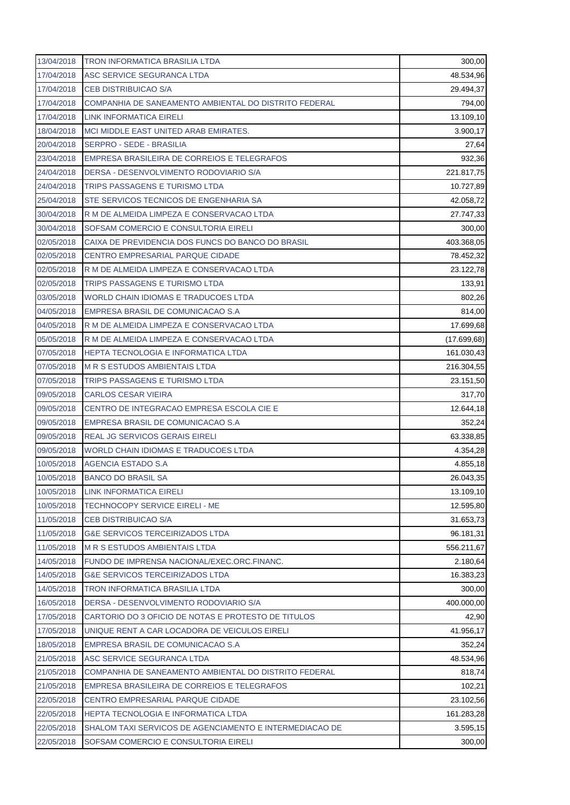| 13/04/2018 | <b>TRON INFORMATICA BRASILIA LTDA</b>                   | 300,00       |
|------------|---------------------------------------------------------|--------------|
| 17/04/2018 | ASC SERVICE SEGURANCA LTDA                              | 48.534,96    |
| 17/04/2018 | <b>CEB DISTRIBUICAO S/A</b>                             | 29.494,37    |
| 17/04/2018 | COMPANHIA DE SANEAMENTO AMBIENTAL DO DISTRITO FEDERAL   | 794,00       |
| 17/04/2018 | LINK INFORMATICA EIRELI                                 | 13.109,10    |
| 18/04/2018 | MCI MIDDLE EAST UNITED ARAB EMIRATES.                   | 3.900,17     |
| 20/04/2018 | <b>SERPRO - SEDE - BRASILIA</b>                         | 27,64        |
| 23/04/2018 | EMPRESA BRASILEIRA DE CORREIOS E TELEGRAFOS             | 932,36       |
| 24/04/2018 | DERSA - DESENVOLVIMENTO RODOVIARIO S/A                  | 221.817,75   |
| 24/04/2018 | <b>TRIPS PASSAGENS E TURISMO LTDA</b>                   | 10.727,89    |
| 25/04/2018 | STE SERVICOS TECNICOS DE ENGENHARIA SA                  | 42.058,72    |
| 30/04/2018 | R M DE ALMEIDA LIMPEZA E CONSERVACAO LTDA               | 27.747,33    |
| 30/04/2018 | SOFSAM COMERCIO E CONSULTORIA EIRELI                    | 300,00       |
| 02/05/2018 | CAIXA DE PREVIDENCIA DOS FUNCS DO BANCO DO BRASIL       | 403.368,05   |
| 02/05/2018 | <b>CENTRO EMPRESARIAL PARQUE CIDADE</b>                 | 78.452,32    |
| 02/05/2018 | R M DE ALMEIDA LIMPEZA E CONSERVACAO LTDA               | 23.122,78    |
| 02/05/2018 | TRIPS PASSAGENS E TURISMO LTDA                          | 133,91       |
| 03/05/2018 | WORLD CHAIN IDIOMAS E TRADUCOES LTDA                    | 802,26       |
| 04/05/2018 | EMPRESA BRASIL DE COMUNICACAO S.A                       | 814,00       |
| 04/05/2018 | R M DE ALMEIDA LIMPEZA E CONSERVACAO LTDA               | 17.699,68    |
| 05/05/2018 | R M DE ALMEIDA LIMPEZA E CONSERVACAO LTDA               | (17.699, 68) |
| 07/05/2018 | HEPTA TECNOLOGIA E INFORMATICA LTDA                     | 161.030,43   |
| 07/05/2018 | <b>M R S ESTUDOS AMBIENTAIS LTDA</b>                    | 216.304,55   |
| 07/05/2018 | TRIPS PASSAGENS E TURISMO LTDA                          | 23.151,50    |
| 09/05/2018 | <b>CARLOS CESAR VIEIRA</b>                              | 317,70       |
| 09/05/2018 | CENTRO DE INTEGRACAO EMPRESA ESCOLA CIE E               | 12.644,18    |
| 09/05/2018 | EMPRESA BRASIL DE COMUNICACAO S.A                       | 352,24       |
| 09/05/2018 | REAL JG SERVICOS GERAIS EIRELI                          | 63.338,85    |
| 09/05/2018 | WORLD CHAIN IDIOMAS E TRADUCOES LTDA                    | 4.354,28     |
| 10/05/2018 | AGENCIA ESTADO S.A                                      | 4.855,18     |
| 10/05/2018 | <b>BANCO DO BRASIL SA</b>                               | 26.043,35    |
| 10/05/2018 | <b>LINK INFORMATICA EIRELI</b>                          | 13.109,10    |
| 10/05/2018 | <b>TECHNOCOPY SERVICE EIRELI - ME</b>                   | 12.595,80    |
| 11/05/2018 | <b>CEB DISTRIBUICAO S/A</b>                             | 31.653,73    |
| 11/05/2018 | <b>G&amp;E SERVICOS TERCEIRIZADOS LTDA</b>              | 96.181,31    |
| 11/05/2018 | <b>M R S ESTUDOS AMBIENTAIS LTDA</b>                    | 556.211,67   |
| 14/05/2018 | FUNDO DE IMPRENSA NACIONAL/EXEC.ORC.FINANC.             | 2.180,64     |
| 14/05/2018 | <b>G&amp;E SERVICOS TERCEIRIZADOS LTDA</b>              | 16.383,23    |
| 14/05/2018 | <b>TRON INFORMATICA BRASILIA LTDA</b>                   | 300,00       |
| 16/05/2018 | DERSA - DESENVOLVIMENTO RODOVIARIO S/A                  | 400.000,00   |
| 17/05/2018 | CARTORIO DO 3 OFICIO DE NOTAS E PROTESTO DE TITULOS     | 42,90        |
| 17/05/2018 | UNIQUE RENT A CAR LOCADORA DE VEICULOS EIRELI           | 41.956,17    |
| 18/05/2018 | EMPRESA BRASIL DE COMUNICACAO S.A                       | 352,24       |
| 21/05/2018 | ASC SERVICE SEGURANCA LTDA                              | 48.534,96    |
| 21/05/2018 | COMPANHIA DE SANEAMENTO AMBIENTAL DO DISTRITO FEDERAL   | 818,74       |
| 21/05/2018 | EMPRESA BRASILEIRA DE CORREIOS E TELEGRAFOS             | 102,21       |
| 22/05/2018 | CENTRO EMPRESARIAL PARQUE CIDADE                        | 23.102,56    |
| 22/05/2018 | <b>HEPTA TECNOLOGIA E INFORMATICA LTDA</b>              | 161.283,28   |
| 22/05/2018 | SHALOM TAXI SERVICOS DE AGENCIAMENTO E INTERMEDIACAO DE | 3.595,15     |
| 22/05/2018 | SOFSAM COMERCIO E CONSULTORIA EIRELI                    | 300,00       |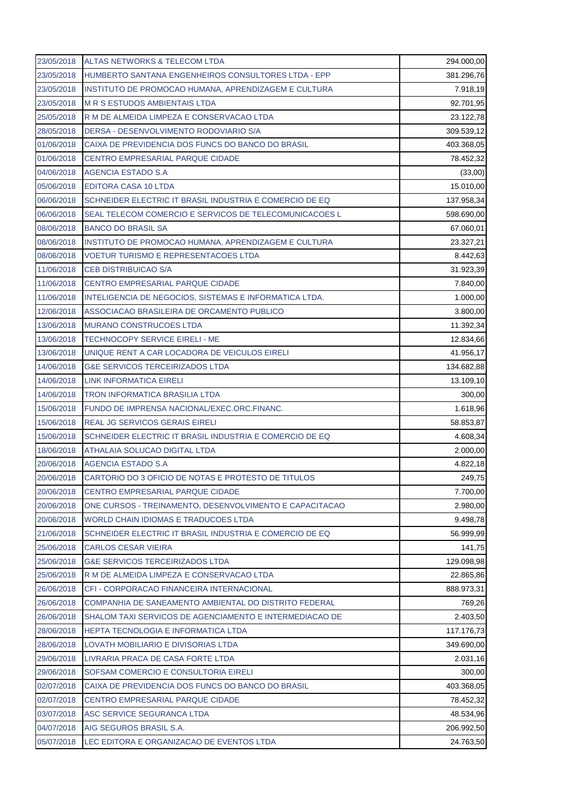| 23/05/2018 | ALTAS NETWORKS & TELECOM LTDA                           | 294.000,00 |
|------------|---------------------------------------------------------|------------|
| 23/05/2018 | HUMBERTO SANTANA ENGENHEIROS CONSULTORES LTDA - EPP     | 381.296,76 |
| 23/05/2018 | INSTITUTO DE PROMOCAO HUMANA, APRENDIZAGEM E CULTURA    | 7.918,19   |
| 23/05/2018 | <b>M R S ESTUDOS AMBIENTAIS LTDA</b>                    | 92.701,95  |
| 25/05/2018 | R M DE ALMEIDA LIMPEZA E CONSERVACAO LTDA               | 23.122,78  |
| 28/05/2018 | DERSA - DESENVOLVIMENTO RODOVIARIO S/A                  | 309.539,12 |
| 01/06/2018 | CAIXA DE PREVIDENCIA DOS FUNCS DO BANCO DO BRASIL       | 403.368,05 |
| 01/06/2018 | <b>CENTRO EMPRESARIAL PARQUE CIDADE</b>                 | 78.452,32  |
| 04/06/2018 | <b>AGENCIA ESTADO S.A</b>                               | (33,00)    |
| 05/06/2018 | EDITORA CASA 10 LTDA                                    | 15.010,00  |
| 06/06/2018 | SCHNEIDER ELECTRIC IT BRASIL INDUSTRIA E COMERCIO DE EQ | 137.958,34 |
| 06/06/2018 | SEAL TELECOM COMERCIO E SERVICOS DE TELECOMUNICACOES L  | 598.690,00 |
| 08/06/2018 | <b>BANCO DO BRASIL SA</b>                               | 67.060,01  |
| 08/06/2018 | INSTITUTO DE PROMOCAO HUMANA, APRENDIZAGEM E CULTURA    | 23.327,21  |
| 08/06/2018 | <b>VOETUR TURISMO E REPRESENTACOES LTDA</b>             | 8.442,63   |
| 11/06/2018 | <b>CEB DISTRIBUICAO S/A</b>                             | 31.923,39  |
| 11/06/2018 | <b>CENTRO EMPRESARIAL PARQUE CIDADE</b>                 | 7.840,00   |
| 11/06/2018 | INTELIGENCIA DE NEGOCIOS, SISTEMAS E INFORMATICA LTDA.  | 1.000,00   |
| 12/06/2018 | ASSOCIACAO BRASILEIRA DE ORCAMENTO PUBLICO              | 3.800,00   |
| 13/06/2018 | <b>MURANO CONSTRUCOES LTDA</b>                          | 11.392,34  |
| 13/06/2018 | TECHNOCOPY SERVICE EIRELI - ME                          | 12.834,66  |
| 13/06/2018 | UNIQUE RENT A CAR LOCADORA DE VEICULOS EIRELI           | 41.956,17  |
| 14/06/2018 | <b>G&amp;E SERVICOS TERCEIRIZADOS LTDA</b>              | 134.682,88 |
| 14/06/2018 | LINK INFORMATICA EIRELI                                 | 13.109,10  |
| 14/06/2018 | TRON INFORMATICA BRASILIA LTDA                          | 300,00     |
| 15/06/2018 | FUNDO DE IMPRENSA NACIONAL/EXEC.ORC.FINANC.             | 1.618,96   |
| 15/06/2018 | REAL JG SERVICOS GERAIS EIRELI                          | 58.853,87  |
| 15/06/2018 | SCHNEIDER ELECTRIC IT BRASIL INDUSTRIA E COMERCIO DE EQ | 4.608,34   |
| 18/06/2018 | ATHALAIA SOLUCAO DIGITAL LTDA                           | 2.000,00   |
| 20/06/2018 | <b>AGENCIA ESTADO S.A</b>                               | 4.822,18   |
| 20/06/2018 | CARTORIO DO 3 OFICIO DE NOTAS E PROTESTO DE TITULOS     | 249,75     |
| 20/06/2018 | CENTRO EMPRESARIAL PARQUE CIDADE                        | 7.700,00   |
| 20/06/2018 | ONE CURSOS - TREINAMENTO, DESENVOLVIMENTO E CAPACITACAO | 2.980,00   |
| 20/06/2018 | WORLD CHAIN IDIOMAS E TRADUCOES LTDA                    | 9.498,78   |
| 21/06/2018 | SCHNEIDER ELECTRIC IT BRASIL INDUSTRIA E COMERCIO DE EQ | 56.999,99  |
| 25/06/2018 | <b>CARLOS CESAR VIEIRA</b>                              | 141,75     |
| 25/06/2018 | <b>G&amp;E SERVICOS TERCEIRIZADOS LTDA</b>              | 129.098,98 |
| 25/06/2018 | R M DE ALMEIDA LIMPEZA E CONSERVACAO LTDA               | 22.865,86  |
| 26/06/2018 | CFI - CORPORACAO FINANCEIRA INTERNACIONAL               | 888.973,31 |
| 26/06/2018 | COMPANHIA DE SANEAMENTO AMBIENTAL DO DISTRITO FEDERAL   | 769,26     |
| 26/06/2018 | SHALOM TAXI SERVICOS DE AGENCIAMENTO E INTERMEDIACAO DE | 2.403,50   |
| 28/06/2018 | HEPTA TECNOLOGIA E INFORMATICA LTDA                     | 117.176,73 |
| 28/06/2018 | LOVATH MOBILIARIO E DIVISORIAS LTDA                     | 349.690,00 |
| 29/06/2018 | LIVRARIA PRACA DE CASA FORTE LTDA                       | 2.031,16   |
| 29/06/2018 | SOFSAM COMERCIO E CONSULTORIA EIRELI                    | 300,00     |
| 02/07/2018 | CAIXA DE PREVIDENCIA DOS FUNCS DO BANCO DO BRASIL       | 403.368,05 |
| 02/07/2018 | CENTRO EMPRESARIAL PARQUE CIDADE                        | 78.452,32  |
| 03/07/2018 | ASC SERVICE SEGURANCA LTDA                              | 48.534,96  |
| 04/07/2018 | AIG SEGUROS BRASIL S.A.                                 | 206.992,50 |
| 05/07/2018 | LEC EDITORA E ORGANIZACAO DE EVENTOS LTDA               | 24.763,50  |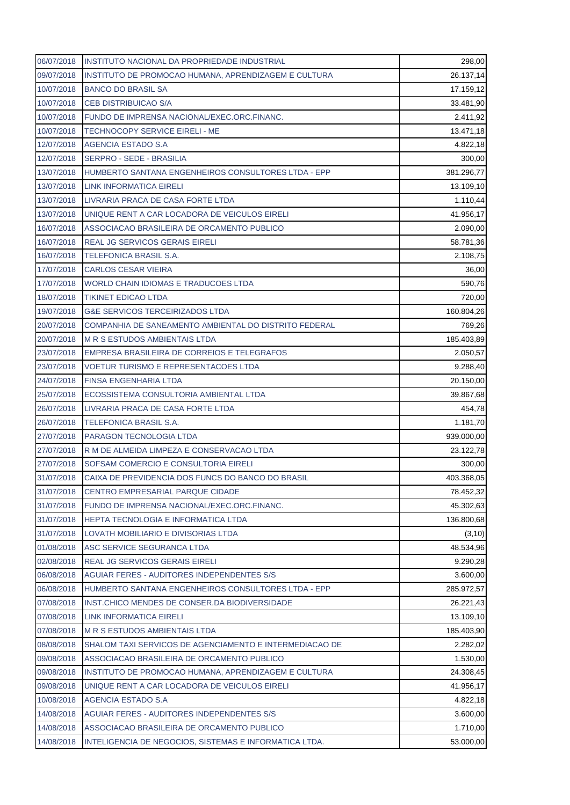| 06/07/2018 | INSTITUTO NACIONAL DA PROPRIEDADE INDUSTRIAL            | 298,00                |
|------------|---------------------------------------------------------|-----------------------|
| 09/07/2018 | INSTITUTO DE PROMOCAO HUMANA, APRENDIZAGEM E CULTURA    | 26.137,14             |
| 10/07/2018 | <b>BANCO DO BRASIL SA</b>                               | 17.159,12             |
| 10/07/2018 | <b>CEB DISTRIBUICAO S/A</b>                             | 33.481,90             |
| 10/07/2018 | FUNDO DE IMPRENSA NACIONAL/EXEC.ORC.FINANC.             | 2.411,92              |
| 10/07/2018 | <b>TECHNOCOPY SERVICE EIRELI - ME</b>                   | 13.471,18             |
| 12/07/2018 | <b>AGENCIA ESTADO S.A</b>                               | 4.822,18              |
| 12/07/2018 | <b>SERPRO - SEDE - BRASILIA</b>                         | 300,00                |
| 13/07/2018 | HUMBERTO SANTANA ENGENHEIROS CONSULTORES LTDA - EPP     | 381.296,77            |
| 13/07/2018 | <b>LINK INFORMATICA EIRELI</b>                          | 13.109,10             |
| 13/07/2018 | LIVRARIA PRACA DE CASA FORTE LTDA                       | 1.110,44              |
| 13/07/2018 | UNIQUE RENT A CAR LOCADORA DE VEICULOS EIRELI           | 41.956,17             |
| 16/07/2018 | ASSOCIACAO BRASILEIRA DE ORCAMENTO PUBLICO              | 2.090,00              |
| 16/07/2018 | REAL JG SERVICOS GERAIS EIRELI                          | 58.781,36             |
| 16/07/2018 | TELEFONICA BRASIL S.A.                                  | 2.108,75              |
| 17/07/2018 | <b>CARLOS CESAR VIEIRA</b>                              | 36,00                 |
| 17/07/2018 | WORLD CHAIN IDIOMAS E TRADUCOES LTDA                    | 590,76                |
| 18/07/2018 | <b>TIKINET EDICAO LTDA</b>                              | 720,00                |
| 19/07/2018 | <b>G&amp;E SERVICOS TERCEIRIZADOS LTDA</b>              | 160.804,26            |
| 20/07/2018 | COMPANHIA DE SANEAMENTO AMBIENTAL DO DISTRITO FEDERAL   | 769,26                |
| 20/07/2018 | <b>M R S ESTUDOS AMBIENTAIS LTDA</b>                    | 185.403,89            |
| 23/07/2018 | EMPRESA BRASILEIRA DE CORREIOS E TELEGRAFOS             | 2.050,57              |
| 23/07/2018 | <b>VOETUR TURISMO E REPRESENTACOES LTDA</b>             | 9.288,40              |
| 24/07/2018 | FINSA ENGENHARIA LTDA                                   | 20.150,00             |
| 25/07/2018 | ECOSSISTEMA CONSULTORIA AMBIENTAL LTDA                  | 39.867,68             |
| 26/07/2018 | LIVRARIA PRACA DE CASA FORTE LTDA                       | 454,78                |
| 26/07/2018 | TELEFONICA BRASIL S.A.                                  | 1.181,70              |
| 27/07/2018 | PARAGON TECNOLOGIA LTDA                                 | 939.000,00            |
| 27/07/2018 | R M DE ALMEIDA LIMPEZA E CONSERVACAO LTDA               | 23.122,78             |
| 27/07/2018 | SOFSAM COMERCIO E CONSULTORIA EIRELI                    | 300,00                |
|            | CAIXA DE PREVIDENCIA DOS FUNCS DO BANCO DO BRASIL       | 403.368,05            |
| 31/07/2018 |                                                         |                       |
| 31/07/2018 | CENTRO EMPRESARIAL PARQUE CIDADE                        | 78.452,32             |
| 31/07/2018 | FUNDO DE IMPRENSA NACIONAL/EXEC.ORC.FINANC.             | 45.302,63             |
| 31/07/2018 | HEPTA TECNOLOGIA E INFORMATICA LTDA                     | 136.800,68            |
| 31/07/2018 | LOVATH MOBILIARIO E DIVISORIAS LTDA                     | (3, 10)               |
| 01/08/2018 | ASC SERVICE SEGURANCA LTDA                              | 48.534,96             |
| 02/08/2018 | <b>REAL JG SERVICOS GERAIS EIRELI</b>                   | 9.290,28              |
| 06/08/2018 | AGUIAR FERES - AUDITORES INDEPENDENTES S/S              | 3.600,00              |
| 06/08/2018 | HUMBERTO SANTANA ENGENHEIROS CONSULTORES LTDA - EPP     | 285.972,57            |
| 07/08/2018 | INST.CHICO MENDES DE CONSER.DA BIODIVERSIDADE           | 26.221,43             |
| 07/08/2018 | LINK INFORMATICA EIRELI                                 | 13.109,10             |
| 07/08/2018 | <b>M R S ESTUDOS AMBIENTAIS LTDA</b>                    | 185.403,90            |
| 08/08/2018 | SHALOM TAXI SERVICOS DE AGENCIAMENTO E INTERMEDIACAO DE | 2.282,02              |
| 09/08/2018 | ASSOCIACAO BRASILEIRA DE ORCAMENTO PUBLICO              | 1.530,00              |
| 09/08/2018 | INSTITUTO DE PROMOCAO HUMANA, APRENDIZAGEM E CULTURA    | 24.308,45             |
| 09/08/2018 | UNIQUE RENT A CAR LOCADORA DE VEICULOS EIRELI           | 41.956,17             |
| 10/08/2018 | AGENCIA ESTADO S.A                                      | 4.822,18              |
| 14/08/2018 | AGUIAR FERES - AUDITORES INDEPENDENTES S/S              | 3.600,00              |
| 14/08/2018 | ASSOCIACAO BRASILEIRA DE ORCAMENTO PUBLICO              | 1.710,00<br>53.000,00 |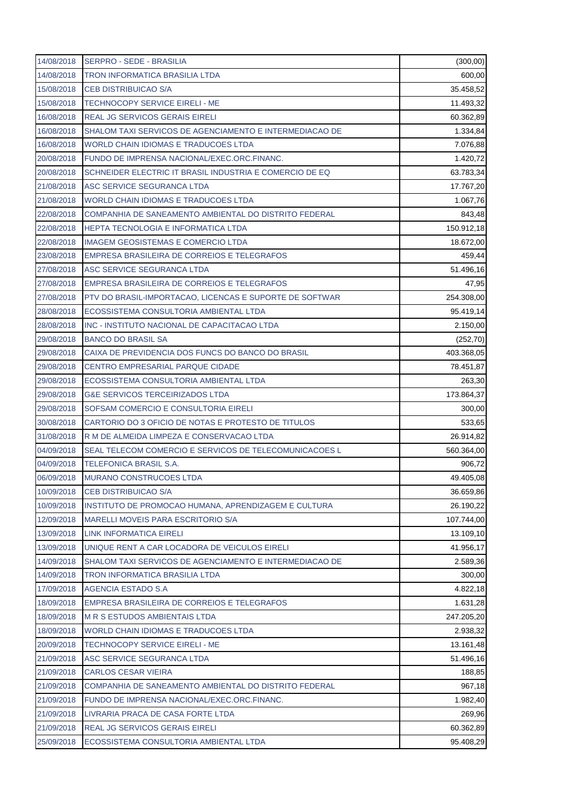| 14/08/2018 | <b>SERPRO - SEDE - BRASILIA</b>                         | (300, 00)  |
|------------|---------------------------------------------------------|------------|
| 14/08/2018 | <b>TRON INFORMATICA BRASILIA LTDA</b>                   | 600,00     |
| 15/08/2018 | <b>CEB DISTRIBUICAO S/A</b>                             | 35.458,52  |
| 15/08/2018 | <b>TECHNOCOPY SERVICE EIRELI - ME</b>                   | 11.493,32  |
| 16/08/2018 | <b>REAL JG SERVICOS GERAIS EIRELI</b>                   | 60.362,89  |
| 16/08/2018 | SHALOM TAXI SERVICOS DE AGENCIAMENTO E INTERMEDIACAO DE | 1.334,84   |
| 16/08/2018 | WORLD CHAIN IDIOMAS E TRADUCOES LTDA                    | 7.076,88   |
| 20/08/2018 | FUNDO DE IMPRENSA NACIONAL/EXEC.ORC.FINANC.             | 1.420,72   |
| 20/08/2018 | SCHNEIDER ELECTRIC IT BRASIL INDUSTRIA E COMERCIO DE EQ | 63.783,34  |
| 21/08/2018 | ASC SERVICE SEGURANCA LTDA                              | 17.767,20  |
| 21/08/2018 | WORLD CHAIN IDIOMAS E TRADUCOES LTDA                    | 1.067,76   |
| 22/08/2018 | COMPANHIA DE SANEAMENTO AMBIENTAL DO DISTRITO FEDERAL   | 843,48     |
| 22/08/2018 | HEPTA TECNOLOGIA E INFORMATICA LTDA                     | 150.912,18 |
| 22/08/2018 | <b>IMAGEM GEOSISTEMAS E COMERCIO LTDA</b>               | 18.672,00  |
| 23/08/2018 | EMPRESA BRASILEIRA DE CORREIOS E TELEGRAFOS             | 459,44     |
| 27/08/2018 | ASC SERVICE SEGURANCA LTDA                              | 51.496,16  |
| 27/08/2018 | EMPRESA BRASILEIRA DE CORREIOS E TELEGRAFOS             | 47,95      |
| 27/08/2018 | PTV DO BRASIL-IMPORTACAO, LICENCAS E SUPORTE DE SOFTWAR | 254.308,00 |
| 28/08/2018 | ECOSSISTEMA CONSULTORIA AMBIENTAL LTDA                  | 95.419,14  |
| 28/08/2018 | INC - INSTITUTO NACIONAL DE CAPACITACAO LTDA            | 2.150,00   |
| 29/08/2018 | <b>BANCO DO BRASIL SA</b>                               | (252, 70)  |
| 29/08/2018 | CAIXA DE PREVIDENCIA DOS FUNCS DO BANCO DO BRASIL       | 403.368,05 |
| 29/08/2018 | <b>CENTRO EMPRESARIAL PARQUE CIDADE</b>                 | 78.451,87  |
| 29/08/2018 | ECOSSISTEMA CONSULTORIA AMBIENTAL LTDA                  | 263,30     |
| 29/08/2018 | <b>G&amp;E SERVICOS TERCEIRIZADOS LTDA</b>              | 173.864,37 |
| 29/08/2018 | SOFSAM COMERCIO E CONSULTORIA EIRELI                    | 300,00     |
| 30/08/2018 | CARTORIO DO 3 OFICIO DE NOTAS E PROTESTO DE TITULOS     | 533,65     |
| 31/08/2018 | R M DE ALMEIDA LIMPEZA E CONSERVACAO LTDA               | 26.914,82  |
| 04/09/2018 | SEAL TELECOM COMERCIO E SERVICOS DE TELECOMUNICACOES L  | 560.364,00 |
| 04/09/2018 | <b>TELEFONICA BRASIL S.A.</b>                           | 906,72     |
| 06/09/2018 | MURANO CONSTRUCOES LTDA                                 | 49.405,08  |
| 10/09/2018 | <b>CEB DISTRIBUICAO S/A</b>                             | 36.659,86  |
| 10/09/2018 | INSTITUTO DE PROMOCAO HUMANA, APRENDIZAGEM E CULTURA    | 26.190,22  |
| 12/09/2018 | MARELLI MOVEIS PARA ESCRITORIO S/A                      | 107.744,00 |
| 13/09/2018 | <b>LINK INFORMATICA EIRELI</b>                          | 13.109,10  |
| 13/09/2018 | UNIQUE RENT A CAR LOCADORA DE VEICULOS EIRELI           | 41.956,17  |
| 14/09/2018 | SHALOM TAXI SERVICOS DE AGENCIAMENTO E INTERMEDIACAO DE | 2.589,36   |
| 14/09/2018 | TRON INFORMATICA BRASILIA LTDA                          | 300,00     |
| 17/09/2018 | <b>AGENCIA ESTADO S.A</b>                               | 4.822,18   |
| 18/09/2018 | EMPRESA BRASILEIRA DE CORREIOS E TELEGRAFOS             | 1.631,28   |
| 18/09/2018 | <b>M R S ESTUDOS AMBIENTAIS LTDA</b>                    | 247.205,20 |
| 18/09/2018 | WORLD CHAIN IDIOMAS E TRADUCOES LTDA                    | 2.938,32   |
| 20/09/2018 | <b>TECHNOCOPY SERVICE EIRELI - ME</b>                   | 13.161,48  |
| 21/09/2018 | ASC SERVICE SEGURANCA LTDA                              | 51.496,16  |
| 21/09/2018 | <b>CARLOS CESAR VIEIRA</b>                              | 188,85     |
| 21/09/2018 | COMPANHIA DE SANEAMENTO AMBIENTAL DO DISTRITO FEDERAL   | 967,18     |
| 21/09/2018 | FUNDO DE IMPRENSA NACIONAL/EXEC.ORC.FINANC.             | 1.982,40   |
| 21/09/2018 | LIVRARIA PRACA DE CASA FORTE LTDA                       | 269,96     |
| 21/09/2018 | REAL JG SERVICOS GERAIS EIRELI                          | 60.362,89  |
| 25/09/2018 | ECOSSISTEMA CONSULTORIA AMBIENTAL LTDA                  | 95.408,29  |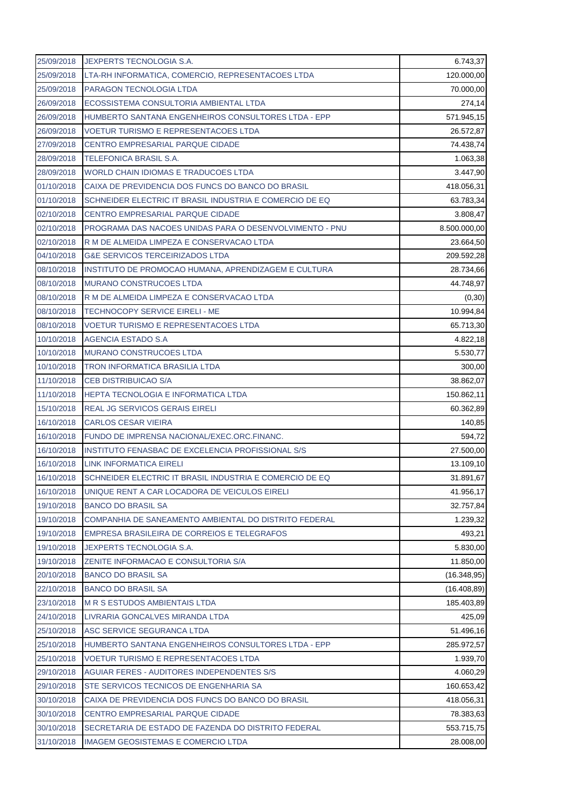| 25/09/2018 | <b>JEXPERTS TECNOLOGIA S.A.</b>                         | 6.743,37     |
|------------|---------------------------------------------------------|--------------|
| 25/09/2018 | LTA-RH INFORMATICA, COMERCIO, REPRESENTACOES LTDA       | 120.000,00   |
| 25/09/2018 | PARAGON TECNOLOGIA LTDA                                 | 70.000,00    |
| 26/09/2018 | ECOSSISTEMA CONSULTORIA AMBIENTAL LTDA                  | 274,14       |
| 26/09/2018 | HUMBERTO SANTANA ENGENHEIROS CONSULTORES LTDA - EPP     | 571.945,15   |
| 26/09/2018 | <b>VOETUR TURISMO E REPRESENTACOES LTDA</b>             | 26.572,87    |
| 27/09/2018 | <b>CENTRO EMPRESARIAL PARQUE CIDADE</b>                 | 74.438,74    |
| 28/09/2018 | <b>TELEFONICA BRASIL S.A.</b>                           | 1.063,38     |
| 28/09/2018 | WORLD CHAIN IDIOMAS E TRADUCOES LTDA                    | 3.447,90     |
| 01/10/2018 | CAIXA DE PREVIDENCIA DOS FUNCS DO BANCO DO BRASIL       | 418.056,31   |
| 01/10/2018 | SCHNEIDER ELECTRIC IT BRASIL INDUSTRIA E COMERCIO DE EQ | 63.783,34    |
| 02/10/2018 | CENTRO EMPRESARIAL PARQUE CIDADE                        | 3.808,47     |
| 02/10/2018 | PROGRAMA DAS NACOES UNIDAS PARA O DESENVOLVIMENTO - PNU | 8.500.000,00 |
| 02/10/2018 | R M DE ALMEIDA LIMPEZA E CONSERVACAO LTDA               | 23.664,50    |
| 04/10/2018 | <b>G&amp;E SERVICOS TERCEIRIZADOS LTDA</b>              | 209.592,28   |
| 08/10/2018 | INSTITUTO DE PROMOCAO HUMANA, APRENDIZAGEM E CULTURA    | 28.734,66    |
| 08/10/2018 | <b>MURANO CONSTRUCOES LTDA</b>                          | 44.748,97    |
| 08/10/2018 | R M DE ALMEIDA LIMPEZA E CONSERVACAO LTDA               | (0, 30)      |
| 08/10/2018 | <b>TECHNOCOPY SERVICE EIRELI - ME</b>                   | 10.994,84    |
| 08/10/2018 | <b>VOETUR TURISMO E REPRESENTACOES LTDA</b>             | 65.713,30    |
| 10/10/2018 | <b>AGENCIA ESTADO S.A</b>                               | 4.822,18     |
| 10/10/2018 | MURANO CONSTRUCOES LTDA                                 | 5.530,77     |
| 10/10/2018 | <b>TRON INFORMATICA BRASILIA LTDA</b>                   | 300,00       |
| 11/10/2018 | <b>CEB DISTRIBUICAO S/A</b>                             | 38.862,07    |
| 11/10/2018 | HEPTA TECNOLOGIA E INFORMATICA LTDA                     | 150.862,11   |
| 15/10/2018 | <b>REAL JG SERVICOS GERAIS EIRELI</b>                   | 60.362,89    |
| 16/10/2018 | <b>CARLOS CESAR VIEIRA</b>                              | 140,85       |
| 16/10/2018 | FUNDO DE IMPRENSA NACIONAL/EXEC.ORC.FINANC.             | 594,72       |
| 16/10/2018 | INSTITUTO FENASBAC DE EXCELENCIA PROFISSIONAL S/S       | 27.500,00    |
| 16/10/2018 | <b>LINK INFORMATICA EIRELI</b>                          | 13.109,10    |
| 16/10/2018 | SCHNEIDER ELECTRIC IT BRASIL INDUSTRIA E COMERCIO DE EQ | 31.891,67    |
| 16/10/2018 | UNIQUE RENT A CAR LOCADORA DE VEICULOS EIRELI           | 41.956,17    |
| 19/10/2018 | <b>BANCO DO BRASIL SA</b>                               | 32.757,84    |
| 19/10/2018 | COMPANHIA DE SANEAMENTO AMBIENTAL DO DISTRITO FEDERAL   | 1.239,32     |
| 19/10/2018 | EMPRESA BRASILEIRA DE CORREIOS E TELEGRAFOS             | 493,21       |
| 19/10/2018 | JEXPERTS TECNOLOGIA S.A.                                | 5.830,00     |
| 19/10/2018 | ZENITE INFORMACAO E CONSULTORIA S/A                     | 11.850,00    |
| 20/10/2018 | <b>BANCO DO BRASIL SA</b>                               | (16.348, 95) |
| 22/10/2018 | <b>BANCO DO BRASIL SA</b>                               | (16.408, 89) |
| 23/10/2018 | <b>M R S ESTUDOS AMBIENTAIS LTDA</b>                    | 185.403,89   |
| 24/10/2018 | LIVRARIA GONCALVES MIRANDA LTDA                         | 425,09       |
| 25/10/2018 | ASC SERVICE SEGURANCA LTDA                              | 51.496,16    |
| 25/10/2018 | HUMBERTO SANTANA ENGENHEIROS CONSULTORES LTDA - EPP     | 285.972,57   |
| 25/10/2018 | <b>VOETUR TURISMO E REPRESENTACOES LTDA</b>             | 1.939,70     |
| 29/10/2018 | AGUIAR FERES - AUDITORES INDEPENDENTES S/S              | 4.060,29     |
| 29/10/2018 | STE SERVICOS TECNICOS DE ENGENHARIA SA                  | 160.653,42   |
| 30/10/2018 | CAIXA DE PREVIDENCIA DOS FUNCS DO BANCO DO BRASIL       | 418.056,31   |
| 30/10/2018 | CENTRO EMPRESARIAL PARQUE CIDADE                        | 78.383,63    |
| 30/10/2018 | SECRETARIA DE ESTADO DE FAZENDA DO DISTRITO FEDERAL     | 553.715,75   |
| 31/10/2018 | <b>IMAGEM GEOSISTEMAS E COMERCIO LTDA</b>               | 28.008,00    |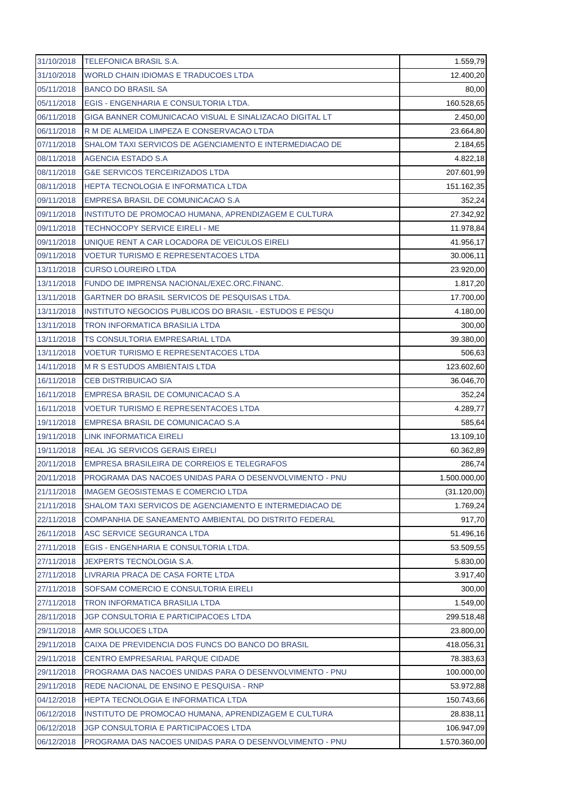| 31/10/2018 | <b>TELEFONICA BRASIL S.A.</b>                           | 1.559,79     |
|------------|---------------------------------------------------------|--------------|
| 31/10/2018 | WORLD CHAIN IDIOMAS E TRADUCOES LTDA                    | 12.400,20    |
| 05/11/2018 | <b>BANCO DO BRASIL SA</b>                               | 80,00        |
| 05/11/2018 | EGIS - ENGENHARIA E CONSULTORIA LTDA.                   | 160.528,65   |
| 06/11/2018 | GIGA BANNER COMUNICACAO VISUAL E SINALIZACAO DIGITAL LT | 2.450,00     |
| 06/11/2018 | R M DE ALMEIDA LIMPEZA E CONSERVACAO LTDA               | 23.664,80    |
| 07/11/2018 | SHALOM TAXI SERVICOS DE AGENCIAMENTO E INTERMEDIACAO DE | 2.184,65     |
| 08/11/2018 | AGENCIA ESTADO S.A                                      | 4.822,18     |
| 08/11/2018 | <b>G&amp;E SERVICOS TERCEIRIZADOS LTDA</b>              | 207.601,99   |
| 08/11/2018 | <b>HEPTA TECNOLOGIA E INFORMATICA LTDA</b>              | 151.162,35   |
| 09/11/2018 | EMPRESA BRASIL DE COMUNICACAO S.A                       | 352,24       |
| 09/11/2018 | INSTITUTO DE PROMOCAO HUMANA, APRENDIZAGEM E CULTURA    | 27.342,92    |
| 09/11/2018 | <b>TECHNOCOPY SERVICE EIRELI - ME</b>                   | 11.978,84    |
| 09/11/2018 | UNIQUE RENT A CAR LOCADORA DE VEICULOS EIRELI           | 41.956,17    |
| 09/11/2018 | <b>VOETUR TURISMO E REPRESENTACOES LTDA</b>             | 30.006,11    |
| 13/11/2018 | <b>CURSO LOUREIRO LTDA</b>                              | 23.920,00    |
| 13/11/2018 | FUNDO DE IMPRENSA NACIONAL/EXEC.ORC.FINANC.             | 1.817,20     |
| 13/11/2018 | GARTNER DO BRASIL SERVICOS DE PESQUISAS LTDA.           | 17.700,00    |
| 13/11/2018 | INSTITUTO NEGOCIOS PUBLICOS DO BRASIL - ESTUDOS E PESQU | 4.180,00     |
| 13/11/2018 | <b>TRON INFORMATICA BRASILIA LTDA</b>                   | 300,00       |
| 13/11/2018 | TS CONSULTORIA EMPRESARIAL LTDA                         | 39.380,00    |
| 13/11/2018 | VOETUR TURISMO E REPRESENTACOES LTDA                    | 506,63       |
| 14/11/2018 | <b>M R S ESTUDOS AMBIENTAIS LTDA</b>                    | 123.602,60   |
| 16/11/2018 | <b>CEB DISTRIBUICAO S/A</b>                             | 36.046,70    |
| 16/11/2018 | EMPRESA BRASIL DE COMUNICACAO S.A                       | 352,24       |
| 16/11/2018 | <b>VOETUR TURISMO E REPRESENTACOES LTDA</b>             | 4.289,77     |
| 19/11/2018 | EMPRESA BRASIL DE COMUNICACAO S.A                       | 585,64       |
| 19/11/2018 | LINK INFORMATICA EIRELI                                 | 13.109,10    |
| 19/11/2018 | <b>REAL JG SERVICOS GERAIS EIRELI</b>                   | 60.362,89    |
| 20/11/2018 | EMPRESA BRASILEIRA DE CORREIOS E TELEGRAFOS             | 286,74       |
| 20/11/2018 | PROGRAMA DAS NACOES UNIDAS PARA O DESENVOLVIMENTO - PNU | 1.500.000,00 |
| 21/11/2018 | <b>IMAGEM GEOSISTEMAS E COMERCIO LTDA</b>               | (31.120,00)  |
| 21/11/2018 | SHALOM TAXI SERVICOS DE AGENCIAMENTO E INTERMEDIACAO DE | 1.769,24     |
| 22/11/2018 | COMPANHIA DE SANEAMENTO AMBIENTAL DO DISTRITO FEDERAL   | 917,70       |
| 26/11/2018 | ASC SERVICE SEGURANCA LTDA                              | 51.496,16    |
| 27/11/2018 | EGIS - ENGENHARIA E CONSULTORIA LTDA.                   | 53.509,55    |
| 27/11/2018 | JEXPERTS TECNOLOGIA S.A.                                | 5.830,00     |
| 27/11/2018 | LIVRARIA PRACA DE CASA FORTE LTDA                       | 3.917,40     |
| 27/11/2018 | SOFSAM COMERCIO E CONSULTORIA EIRELI                    | 300,00       |
| 27/11/2018 | TRON INFORMATICA BRASILIA LTDA                          | 1.549,00     |
| 28/11/2018 | JGP CONSULTORIA E PARTICIPACOES LTDA                    | 299.518,48   |
| 29/11/2018 | AMR SOLUCOES LTDA                                       | 23.800,00    |
| 29/11/2018 | CAIXA DE PREVIDENCIA DOS FUNCS DO BANCO DO BRASIL       | 418.056,31   |
| 29/11/2018 | CENTRO EMPRESARIAL PARQUE CIDADE                        | 78.383,63    |
| 29/11/2018 | PROGRAMA DAS NACOES UNIDAS PARA O DESENVOLVIMENTO - PNU | 100.000,00   |
| 29/11/2018 | REDE NACIONAL DE ENSINO E PESQUISA - RNP                | 53.972,88    |
| 04/12/2018 | HEPTA TECNOLOGIA E INFORMATICA LTDA                     | 150.743,66   |
| 06/12/2018 | INSTITUTO DE PROMOCAO HUMANA, APRENDIZAGEM E CULTURA    | 28.838,11    |
| 06/12/2018 | JGP CONSULTORIA E PARTICIPACOES LTDA                    | 106.947,09   |
| 06/12/2018 | PROGRAMA DAS NACOES UNIDAS PARA O DESENVOLVIMENTO - PNU | 1.570.360,00 |